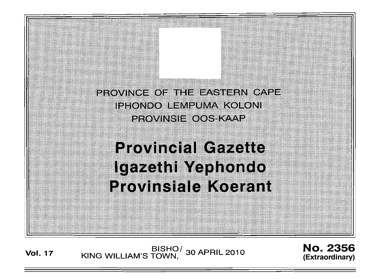

# **Provincial Gazette** Igazethi Yephondo **Provinsiale Koerant**

**Vol. <sup>17</sup>** BISHO/ KING WILLIAM'S TOWN , 30 APRIL 2010

No. 2356 (Extraordinary)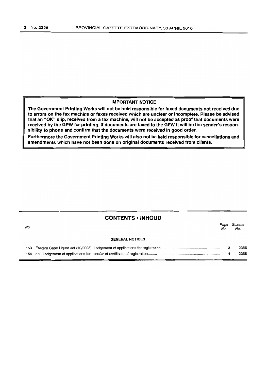### **IMPORTANT NOTICE**

**The Government Printing Works will not be held responsible for faxed documents not received due to errors on the fax machine or faxes received which are unclear or incomplete. Please be advised that an** "OK" **slip, received from a fax machine, will not be accepted as proof that documents were received by the GPW for printing. If documents are faxed to the GPW it will be the sender's responsibility to phone and confirm that the documents were received in good order.**

**Furthermore the Government Printing Works will also not be held responsible for cancellations and amendments which have not been done on original documents received from clients.**

|     | <b>CONTENTS · INHOUD</b> |             |                |
|-----|--------------------------|-------------|----------------|
| No. |                          | Page<br>No. | Gazette<br>No. |
|     | <b>GENERAL NOTICES</b>   |             |                |
| 153 |                          | з           | 2356           |
|     |                          | 4           | 2356           |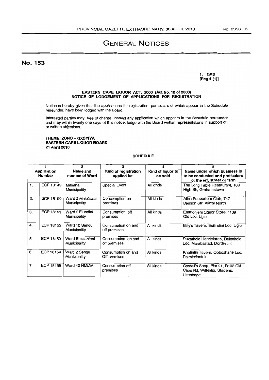# GENERAL NOTICES

## No. 153

1. CM3 [Reg 4 (1)]

#### EASTERN CAPE LIQUOR ACT, 2003 (Act No. 10 of 2003) NOTICE OF LODGEMENT OF APPLICATIONS FOR REGISTRATION

Notice is hereby given that the applications for registration, particulars of which appear in the Schedule hereunder, have been lodged with the Board.

Interested parties may, free of charge, inspect any application which appears in the Schedule hereunder and may within twenty one days of this notice, lodge with the Board written representations in support of, or written objections.

#### THEMBI ZONO - GXOYIYA EASTERN CAPE LIQUOR BOARD 21 April 2010

#### SCHEDULE

|                              |           | 2                                | 3                                   |                              | Б                                                                                             |  |
|------------------------------|-----------|----------------------------------|-------------------------------------|------------------------------|-----------------------------------------------------------------------------------------------|--|
| Application<br><b>Number</b> |           | Name and<br>number of Ward       | Kind of registration<br>applied for | Kind of liquor to<br>be sold | Name under which business is<br>to be conducted and particulars<br>of the erf, street or farm |  |
| 1.                           | ECP 18149 | Makana<br>Municipality           | <b>Special Event</b>                | All kinds                    | The Long Table Restaurant, 108<br>High Str, Grahamstown                                       |  |
| 2.                           | ECP 18150 | Ward 2 Maletswai<br>Municipality | Consumption on<br>premises          | All kinds                    | Alies Supporters Club, 747<br>Benson Str. Aliwal North                                        |  |
| 3.                           | ECP 18151 | Ward 2 Elundini<br>Municipality  | Consumption off<br>premises         | All kinds                    | Emthonieni Liquor Store, 1139<br>Old Loc, Ugie                                                |  |
| 4.                           | ECP 18152 | Ward 10 Sengu<br>Municipality    | Consumption on and<br>off premises  | All kinds                    | Billy's Tavem, Esilindini Loc, Ugie                                                           |  |
| 5.                           | ECP 18153 | Ward Emalahleni<br>Municipality  | Consumption on and<br>off premises  | All kinds                    | Dukathole Handelares, Dukathole<br>Loc, Marabastad, Dordrecht                                 |  |
| 6.                           | ECP 18154 | Ward 2 Sengu<br>Municipality     | Consumption on and<br>Off premises  | All kinds                    | Khathithi Tavern, Qoboshane Loc.<br>Palmietfontein                                            |  |
| $\overline{7}$ .             | ECP 18155 | Ward 40 NMMM                     | Consumption off<br>premises         | All kinds                    | Cordell's Shop, Plot 21, R102 Old<br>Cape Rd, Witteklip, Stadens,<br>Uitenhage                |  |